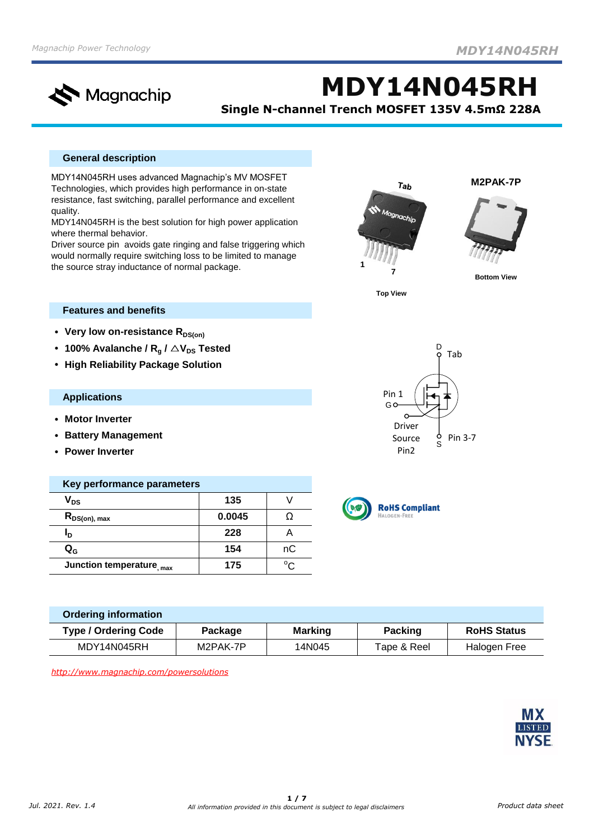

**MDY14N045RH**

**Single N-channel Trench MOSFET 135V 4.5mΩ 228A**

## **General description**

MDY14N045RH uses advanced Magnachip's MV MOSFET Technologies, which provides high performance in on-state resistance, fast switching, parallel performance and excellent quality.

MDY14N045RH is the best solution for high power application where thermal behavior.

Driver source pin avoids gate ringing and false triggering which would normally require switching loss to be limited to manage the source stray inductance of normal package.



**M2PAK-7P**



**Bottom View**

**Top View**

Pin 1<br>Go-

Driver Source Pin2

D

Pin 3-7

S G Tab

# **Features and benefits**

- Very low on-resistance R<sub>DS(on)</sub>
- **100%** Avalanche /  $R_a$  /  $\triangle$  V<sub>DS</sub> Tested
- **• High Reliability Package Solution**

#### **Applications**

- **• Motor Inverter**
- **• Battery Management**
- **• Power Inverter**

| Key performance parameters |        |    |  |  |  |  |
|----------------------------|--------|----|--|--|--|--|
| $\mathsf{V}_{\mathsf{DS}}$ | 135    |    |  |  |  |  |
| $R_{DS(on), max}$          | 0.0045 |    |  |  |  |  |
| יי                         | 228    |    |  |  |  |  |
| $\mathbf{Q_{G}}$           | 154    | nС |  |  |  |  |
| Junction temperature, max  | 175    |    |  |  |  |  |



| <b>Ordering information</b> |          |         |                |                     |
|-----------------------------|----------|---------|----------------|---------------------|
| <b>Type / Ordering Code</b> | Package  | Marking | <b>Packing</b> | <b>RoHS Status</b>  |
| MDY14N045RH                 | M2PAK-7P | 14N045  | Tape & Reel    | <b>Halogen Free</b> |

*[http](http://www.magnachip.com/powersolutions)://www.magnachip.com/powersolutions*

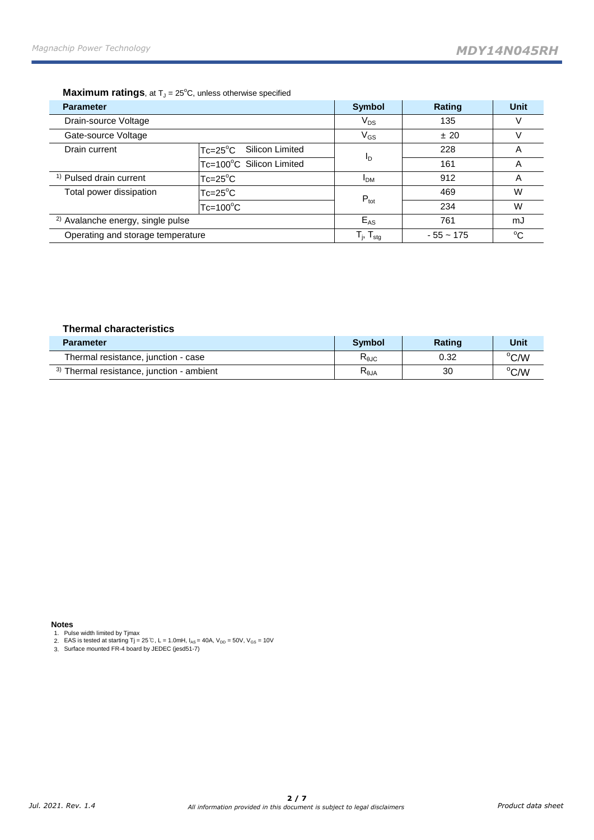### **Maximum ratings**, at T<sub>J</sub> = 25°C, unless otherwise specified

| <b>Parameter</b>                                                   |                                       | <b>Symbol</b>                                         | Rating      | <b>Unit</b> |
|--------------------------------------------------------------------|---------------------------------------|-------------------------------------------------------|-------------|-------------|
| Drain-source Voltage                                               | $V_{DS}$                              | 135                                                   | V           |             |
| Gate-source Voltage                                                |                                       | $\mathsf{V}_{\mathsf{GS}}$                            | ±20         |             |
| Drain current                                                      | Silicon Limited<br>$Tc = 25^{\circ}C$ |                                                       | 228         | A           |
|                                                                    | Tc=100°C Silicon Limited              | Ιŋ                                                    | 161         | Α           |
| <sup>1)</sup> Pulsed drain current                                 | $Tc = 25^{\circ}C$                    | <b>PDM</b>                                            | 912         | A           |
| Total power dissipation<br>$Tc=25^{\circ}C$<br>$Tc = 100^{\circ}C$ |                                       | $P_{\text{tot}}$                                      | 469         | W           |
|                                                                    |                                       |                                                       | 234         | W           |
| <sup>2)</sup> Avalanche energy, single pulse                       |                                       | $E_{AS}$                                              | 761         | mJ          |
| Operating and storage temperature                                  |                                       | $\mathsf{T}_{\mathsf{j}},\,\mathsf{T}_{\mathsf{stg}}$ | $-55 - 175$ | $^{\circ}C$ |

#### **Thermal characteristics**

| <b>Parameter</b>                                     | <b>Symbol</b>  | <b>Rating</b> | Unit |
|------------------------------------------------------|----------------|---------------|------|
| Thermal resistance, junction - case                  | $R_{\theta$ JC | 0.32          | °C/W |
| <sup>3)</sup> Thermal resistance, junction - ambient | $R_{\theta$ JA | 30            | °C/W |

#### **Notes**

1. Pulse width limited by Tjmax

2. 2. EAS is tested at starting Tj = 25℃, L = 1.0mH, I<sub>AS</sub> = 40A, V<sub>DD</sub> = 50V, V<sub>GS</sub> = 10V<br>3. Surface mounted FR-4 board by JEDEC (jesd51-7)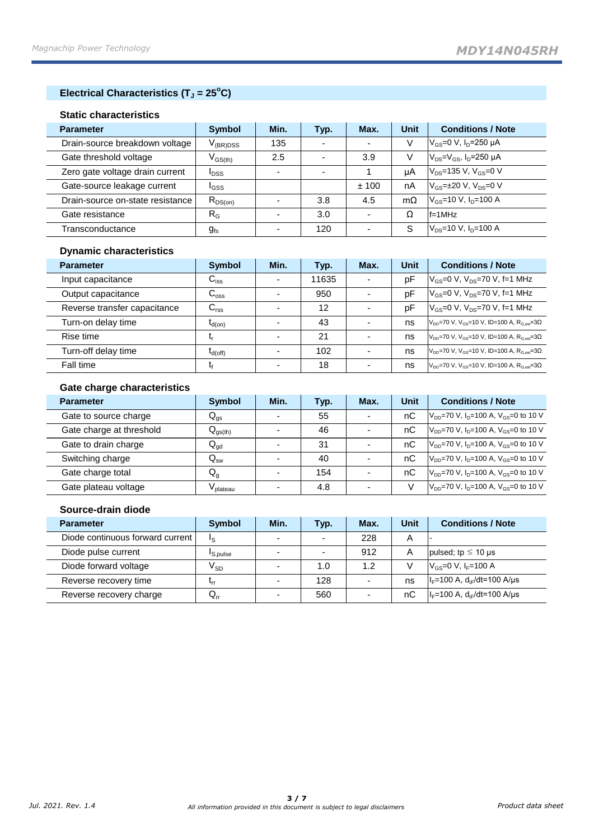# **Electrical Characteristics (T<sup>J</sup> = 25<sup>o</sup>C)**

#### **Static characteristics**

| <b>Parameter</b>                 | Symbol                                  | Min.                     | Typ.                     | Max.                     | <b>Unit</b> | <b>Conditions / Note</b>                                     |
|----------------------------------|-----------------------------------------|--------------------------|--------------------------|--------------------------|-------------|--------------------------------------------------------------|
| Drain-source breakdown voltage   | $\rm V_{(BR)DSS}$                       | 135                      | $\overline{\phantom{0}}$ | -                        | V           | $ V_{GS}=0 V, I_D=250 \mu A$                                 |
| Gate threshold voltage           | $\mathsf{V}_{\mathsf{GS}(\mathsf{th})}$ | 2.5                      | $\overline{\phantom{0}}$ | 3.9                      | v           | $ V_{DS}=V_{GS}$ , $I_D=250 \mu A$                           |
| Zero gate voltage drain current  | <b>I</b> DSS                            | $\overline{\phantom{a}}$ | $\overline{\phantom{0}}$ |                          | uA          | $V_{DS}$ =135 V, V <sub>GS</sub> =0 V                        |
| Gate-source leakage current      | <sup>I</sup> GSS                        |                          |                          | ±100                     | nA          | $V_{\text{GS}}$ = $\pm$ 20 V, V <sub>DS</sub> =0 V           |
| Drain-source on-state resistance | $R_{DS(on)}$                            |                          | 3.8                      | 4.5                      | $m\Omega$   | $V_{\text{GS}} = 10 \text{ V}, I_{\text{D}} = 100 \text{ A}$ |
| Gate resistance                  | $R_G$                                   |                          | 3.0                      | -                        | Ω           | $f = 1$ MHz                                                  |
| Transconductance                 | $g_{fs}$                                |                          | 120                      | $\overline{\phantom{a}}$ | S           | $V_{DS}$ =10 V, $I_{D}$ =100 A                               |

## **Dynamic characteristics**

| <b>Parameter</b>             | Symbol           | Min. | Typ.  | Max. | Unit | <b>Conditions / Note</b>                                                      |
|------------------------------|------------------|------|-------|------|------|-------------------------------------------------------------------------------|
| Input capacitance            | $C_{\text{iss}}$ |      | 11635 | ٠    | pF   | $V_{\rm GS}$ =0 V, V <sub>DS</sub> =70 V, f=1 MHz                             |
| Output capacitance           | $C_{\rm oss}$    |      | 950   |      | рF   | $V_{\rm GS} = 0$ V, $V_{\rm DS} = 70$ V, f=1 MHz                              |
| Reverse transfer capacitance | $C_{\text{rss}}$ |      | 12    | -    | pF   | $V_{\text{GS}} = 0$ V, $V_{\text{DS}} = 70$ V, f=1 MHz                        |
| Turn-on delay time           | $I_{d(on)}$      |      | 43    |      | ns   | $V_{DD}$ =70 V, V <sub>GS</sub> =10 V, ID=100 A, R <sub>G ext</sub> =30       |
| Rise time                    |                  |      | 21    |      | ns   | $V_{\text{DD}}$ =70 V, V <sub>GS</sub> =10 V, ID=100 A, R <sub>Gest</sub> =3Ω |
| Turn-off delay time          | $I_{d(off)}$     |      | 102   | -    | ns   | $V_{DD}$ =70 V, V <sub>GS</sub> =10 V, ID=100 A, R <sub>G ext</sub> =30       |
| Fall time                    |                  |      | 18    |      | ns   | $V_{DD}$ =70 V, V <sub>GS</sub> =10 V, ID=100 A, R <sub>G ext</sub> =30       |

## **Gate charge characteristics**

| <b>Parameter</b>         | <b>Symbol</b>              | Min. | Typ. | Max. | <b>Unit</b> | <b>Conditions / Note</b>                                |
|--------------------------|----------------------------|------|------|------|-------------|---------------------------------------------------------|
| Gate to source charge    | $\mathsf{Q}_{\mathsf{gs}}$ |      | 55   |      | nC          | $V_{DD}$ =70 V, $I_D$ =100 A, $V_{GS}$ =0 to 10 V       |
| Gate charge at threshold | $Q_{gs(th)}$               |      | 46   |      | nC          | $V_{DD}$ =70 V, $I_{D}$ =100 A, $V_{GS}$ =0 to 10 V     |
| Gate to drain charge     | $Q_{gd}$                   |      | 31   |      | nС          | $V_{DD}$ =70 V, $I_D$ =100 A, $V_{GS}$ =0 to 10 V       |
| Switching charge         | $\mathsf{Q}_{\mathsf{sw}}$ |      | 40   |      | пC          | $V_{DD}$ =70 V, $I_{D}$ =100 A, $V_{GS}$ =0 to 10 V     |
| Gate charge total        | $Q_q$                      |      | 154  |      | nC          | $ V_{DD} = 70 V$ , $I_D = 100 A$ , $V_{GS} = 0$ to 10 V |
| Gate plateau voltage     | V plateau                  |      | 4.8  |      |             | $V_{DD}$ =70 V, $I_{D}$ =100 A, $V_{GS}$ =0 to 10 V     |

## **Source-drain diode**

| <b>Parameter</b>                 | <b>Symbol</b>              | Min.                     | Typ.                     | Max.                     | <b>Unit</b> | <b>Conditions / Note</b>                                       |
|----------------------------------|----------------------------|--------------------------|--------------------------|--------------------------|-------------|----------------------------------------------------------------|
| Diode continuous forward current | Ιs                         | $\overline{\phantom{0}}$ | $\overline{\phantom{0}}$ | 228                      | Α           |                                                                |
| Diode pulse current              | <sup>I</sup> S.pulse       | $\overline{\phantom{a}}$ | $\overline{\phantom{0}}$ | 912                      | A           | pulsed; tp $\leq$ 10 µs                                        |
| Diode forward voltage            | $\mathsf{V}_{\mathsf{SD}}$ |                          | 1.0                      | 1.2                      |             | $V_{\text{gs}} = 0 \text{ V}$ , $I_{\text{F}} = 100 \text{ A}$ |
| Reverse recovery time            | ٠rr                        | $\overline{\phantom{a}}$ | 128                      | $\overline{\phantom{0}}$ | ns          | $ I_F=100 A, d_F/dt=100 A/\mu s$                               |
| Reverse recovery charge          | $Q_{rr}$                   | $\overline{\phantom{a}}$ | 560                      |                          | nС          | $ I_F=100 A, d_F/dt=100 A/\mu s$                               |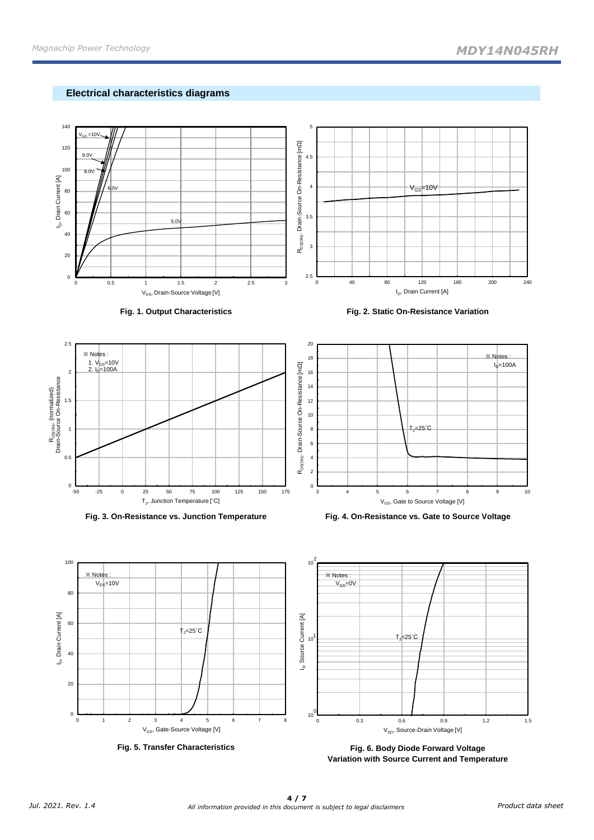## **Electrical characteristics diagrams**



**Fig. 6. Body Diode Forward Voltage Variation with Source Current and Temperature**

**Fig. 5. Transfer Characteristics**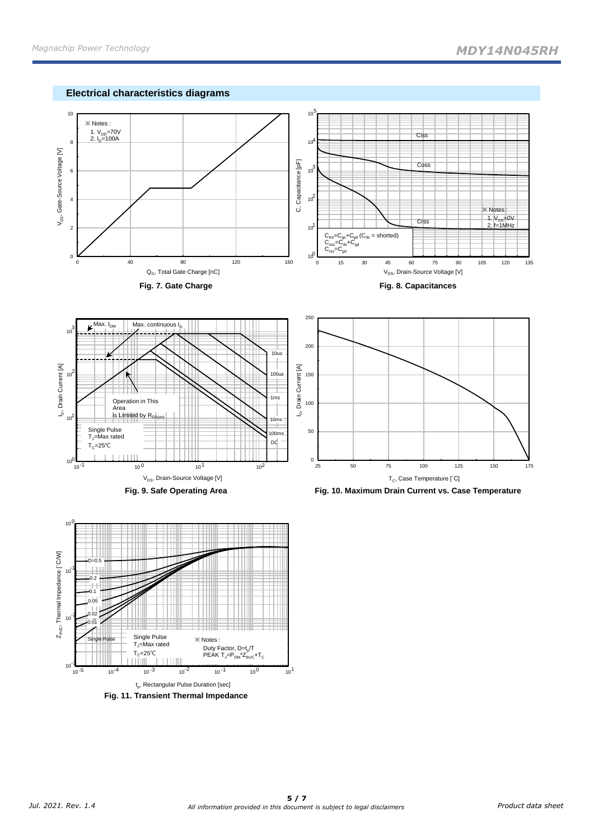









**Fig. 9. Safe Operating Area Fig. 10. Maximum Drain Current vs. Case Temperature**

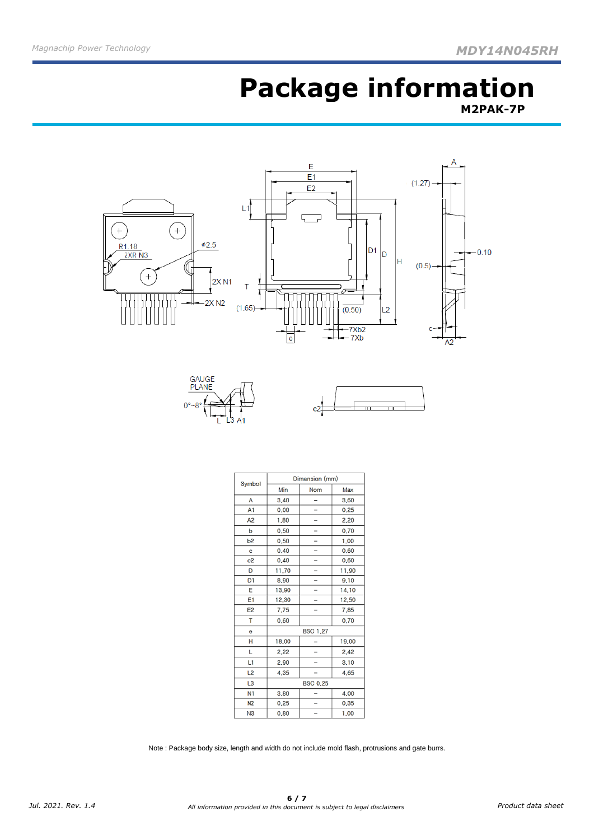# **Package information M2PAK-7P**







| Symbol         | Dimension (mm)  |                 |       |  |  |  |
|----------------|-----------------|-----------------|-------|--|--|--|
|                | Min             | <b>Nom</b>      | Max   |  |  |  |
| A              | 3.40            |                 | 3.60  |  |  |  |
| A1             | 0.00            |                 | 0.25  |  |  |  |
| A <sub>2</sub> | 1,80            |                 | 2,20  |  |  |  |
| p              | 0.50            |                 | 0.70  |  |  |  |
| b2             | 0.50            |                 | 1,00  |  |  |  |
| c              | 0.40            |                 | 0.60  |  |  |  |
| c <sub>2</sub> | 0.40            |                 | 0.60  |  |  |  |
| D              | 11,70           |                 | 11,90 |  |  |  |
| D <sub>1</sub> | 8,90            |                 | 9.10  |  |  |  |
| E              | 13,90           |                 | 14.10 |  |  |  |
| E1             | 12,30           |                 | 12,50 |  |  |  |
| E <sub>2</sub> | 7,75            |                 | 7,85  |  |  |  |
| T              | 0.60            |                 | 0,70  |  |  |  |
| e              |                 | <b>BSC 1.27</b> |       |  |  |  |
| н              | 18,00           |                 | 19,00 |  |  |  |
| L              | 2,22            |                 | 2.42  |  |  |  |
| L1             | 2.90            |                 | 3.10  |  |  |  |
| L2             | 4,35            |                 | 4,65  |  |  |  |
| L3             | <b>BSC 0.25</b> |                 |       |  |  |  |
| N1             | 3.80            |                 | 4.00  |  |  |  |
| N <sub>2</sub> | 0.25            |                 | 0.35  |  |  |  |
| N <sub>3</sub> | 0.80            |                 | 1.00  |  |  |  |

Note : Package body size, length and width do not include mold flash, protrusions and gate burrs.